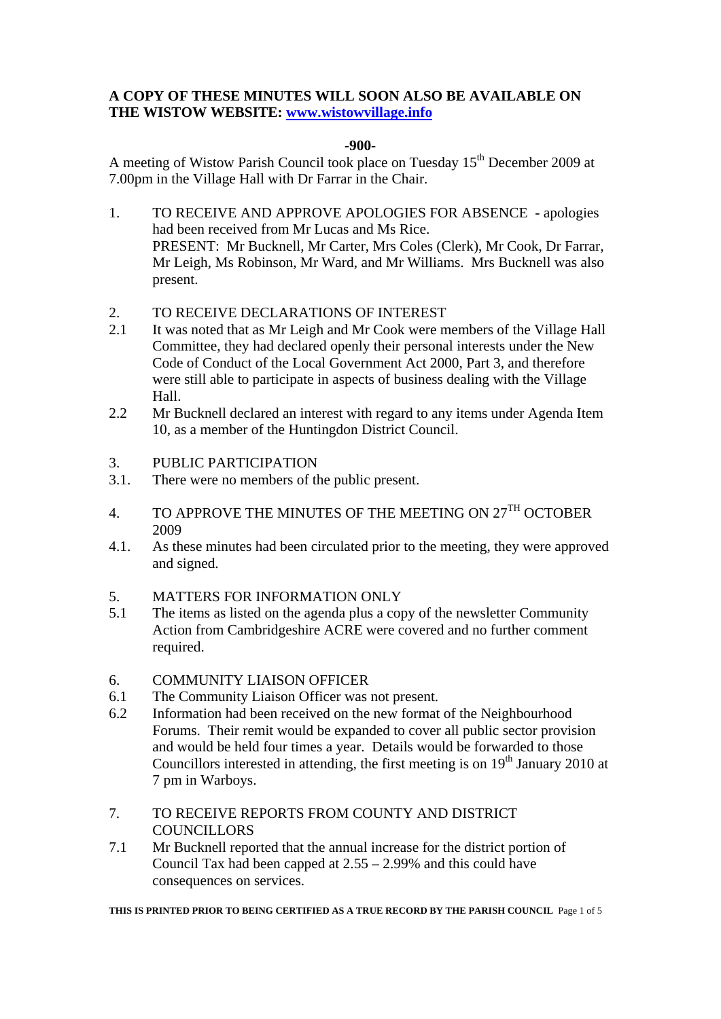## **A COPY OF THESE MINUTES WILL SOON ALSO BE AVAILABLE ON THE WISTOW WEBSITE: www.wistowvillage.info**

## **-900-**

A meeting of Wistow Parish Council took place on Tuesday  $15<sup>th</sup>$  December 2009 at 7.00pm in the Village Hall with Dr Farrar in the Chair.

- 1. TO RECEIVE AND APPROVE APOLOGIES FOR ABSENCE apologies had been received from Mr Lucas and Ms Rice. PRESENT: Mr Bucknell, Mr Carter, Mrs Coles (Clerk), Mr Cook, Dr Farrar, Mr Leigh, Ms Robinson, Mr Ward, and Mr Williams. Mrs Bucknell was also present.
- 2. TO RECEIVE DECLARATIONS OF INTEREST
- 2.1 It was noted that as Mr Leigh and Mr Cook were members of the Village Hall Committee, they had declared openly their personal interests under the New Code of Conduct of the Local Government Act 2000, Part 3, and therefore were still able to participate in aspects of business dealing with the Village Hall.
- 2.2 Mr Bucknell declared an interest with regard to any items under Agenda Item 10, as a member of the Huntingdon District Council.
- 3. PUBLIC PARTICIPATION
- 3.1. There were no members of the public present.
- 4. TO APPROVE THE MINUTES OF THE MEETING ON  $27^{\text{TH}}$  OCTOBER 2009
- 4.1. As these minutes had been circulated prior to the meeting, they were approved and signed.
- 5. MATTERS FOR INFORMATION ONLY
- 5.1 The items as listed on the agenda plus a copy of the newsletter Community Action from Cambridgeshire ACRE were covered and no further comment required.
- 6. COMMUNITY LIAISON OFFICER
- 6.1 The Community Liaison Officer was not present.
- 6.2 Information had been received on the new format of the Neighbourhood Forums. Their remit would be expanded to cover all public sector provision and would be held four times a year. Details would be forwarded to those Councillors interested in attending, the first meeting is on  $19<sup>th</sup>$  January 2010 at 7 pm in Warboys.
- 7. TO RECEIVE REPORTS FROM COUNTY AND DISTRICT **COUNCILLORS**
- 7.1 Mr Bucknell reported that the annual increase for the district portion of Council Tax had been capped at 2.55 – 2.99% and this could have consequences on services.

**THIS IS PRINTED PRIOR TO BEING CERTIFIED AS A TRUE RECORD BY THE PARISH COUNCIL** Page 1 of 5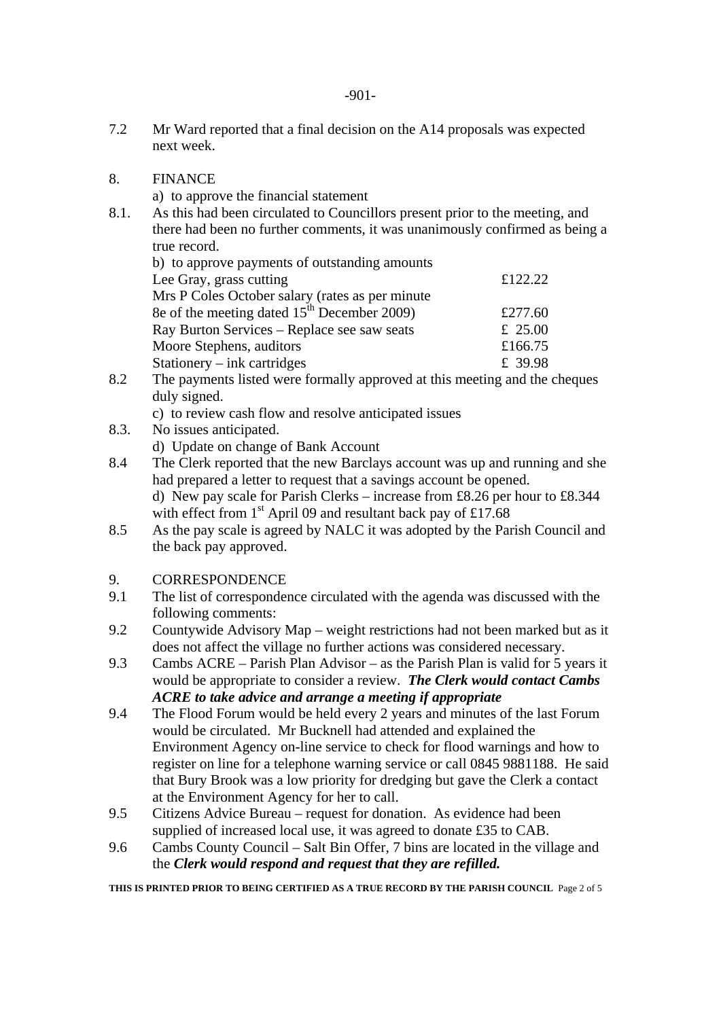-901-

- 7.2 Mr Ward reported that a final decision on the A14 proposals was expected next week.
- 8. FINANCE
	- a) to approve the financial statement
- 8.1. As this had been circulated to Councillors present prior to the meeting, and there had been no further comments, it was unanimously confirmed as being a true record.

| b) to approve payments of outstanding amounts   |         |
|-------------------------------------------------|---------|
| Lee Gray, grass cutting                         | £122.22 |
| Mrs P Coles October salary (rates as per minute |         |
| 8e of the meeting dated $15th$ December 2009)   | £277.60 |
| Ray Burton Services – Replace see saw seats     | £ 25.00 |
| Moore Stephens, auditors                        | £166.75 |
| Stationery $-$ ink cartridges                   | £ 39.98 |
|                                                 |         |

- 8.2 The payments listed were formally approved at this meeting and the cheques duly signed.
	- c) to review cash flow and resolve anticipated issues
- 8.3. No issues anticipated.
	- d) Update on change of Bank Account
- 8.4 The Clerk reported that the new Barclays account was up and running and she had prepared a letter to request that a savings account be opened. d) New pay scale for Parish Clerks – increase from £8.26 per hour to £8.344 with effect from  $1<sup>st</sup>$  April 09 and resultant back pay of £17.68
- 8.5 As the pay scale is agreed by NALC it was adopted by the Parish Council and the back pay approved.

## 9. CORRESPONDENCE

- 9.1 The list of correspondence circulated with the agenda was discussed with the following comments:
- 9.2 Countywide Advisory Map weight restrictions had not been marked but as it does not affect the village no further actions was considered necessary.
- 9.3 Cambs ACRE Parish Plan Advisor as the Parish Plan is valid for 5 years it would be appropriate to consider a review. *The Clerk would contact Cambs ACRE to take advice and arrange a meeting if appropriate*
- 9.4 The Flood Forum would be held every 2 years and minutes of the last Forum would be circulated. Mr Bucknell had attended and explained the Environment Agency on-line service to check for flood warnings and how to register on line for a telephone warning service or call 0845 9881188. He said that Bury Brook was a low priority for dredging but gave the Clerk a contact at the Environment Agency for her to call.
- 9.5 Citizens Advice Bureau request for donation. As evidence had been supplied of increased local use, it was agreed to donate £35 to CAB.
- 9.6 Cambs County Council Salt Bin Offer, 7 bins are located in the village and the *Clerk would respond and request that they are refilled.*

**THIS IS PRINTED PRIOR TO BEING CERTIFIED AS A TRUE RECORD BY THE PARISH COUNCIL** Page 2 of 5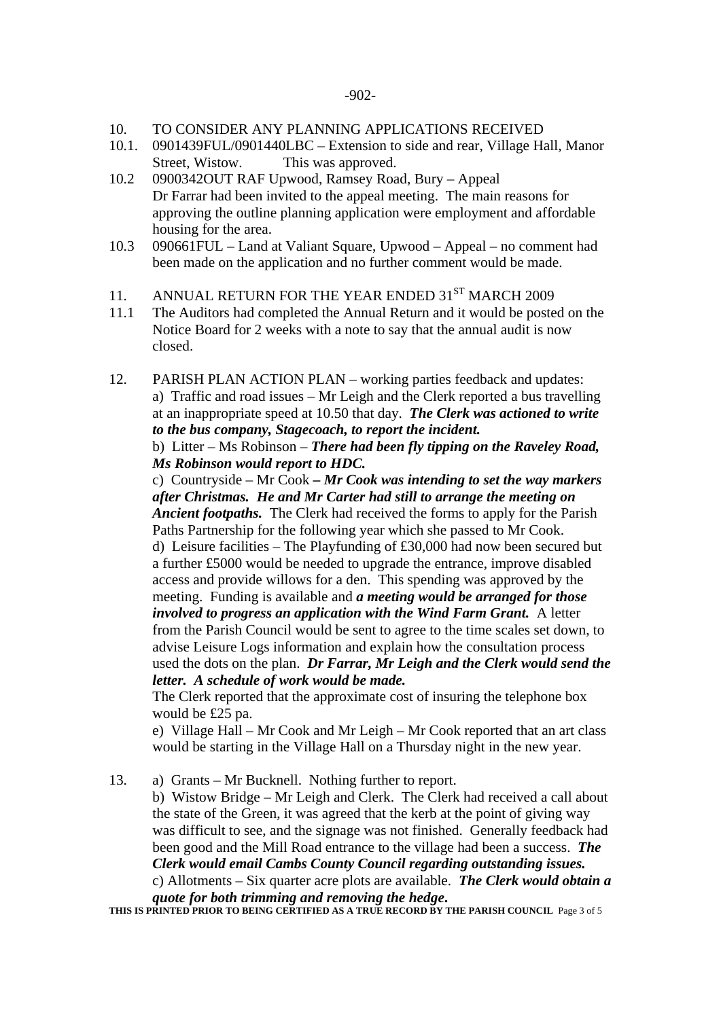- 10. TO CONSIDER ANY PLANNING APPLICATIONS RECEIVED
- 10.1. 0901439FUL/0901440LBC Extension to side and rear, Village Hall, Manor Street, Wistow. This was approved.
- 10.2 0900342OUT RAF Upwood, Ramsey Road, Bury Appeal Dr Farrar had been invited to the appeal meeting. The main reasons for approving the outline planning application were employment and affordable housing for the area.
- 10.3 090661FUL Land at Valiant Square, Upwood Appeal no comment had been made on the application and no further comment would be made.
- 11. ANNUAL RETURN FOR THE YEAR ENDED 31<sup>ST</sup> MARCH 2009
- 11.1 The Auditors had completed the Annual Return and it would be posted on the Notice Board for 2 weeks with a note to say that the annual audit is now closed.
- 12. PARISH PLAN ACTION PLAN working parties feedback and updates: a) Traffic and road issues – Mr Leigh and the Clerk reported a bus travelling at an inappropriate speed at 10.50 that day. *The Clerk was actioned to write to the bus company, Stagecoach, to report the incident.*

 b) Litter – Ms Robinson – *There had been fly tipping on the Raveley Road, Ms Robinson would report to HDC.* 

c) Countryside – Mr Cook *– Mr Cook was intending to set the way markers after Christmas. He and Mr Carter had still to arrange the meeting on Ancient footpaths.* The Clerk had received the forms to apply for the Parish Paths Partnership for the following year which she passed to Mr Cook. d) Leisure facilities – The Playfunding of £30,000 had now been secured but a further £5000 would be needed to upgrade the entrance, improve disabled access and provide willows for a den. This spending was approved by the meeting. Funding is available and *a meeting would be arranged for those involved to progress an application with the Wind Farm Grant.* A letter from the Parish Council would be sent to agree to the time scales set down, to advise Leisure Logs information and explain how the consultation process used the dots on the plan. *Dr Farrar, Mr Leigh and the Clerk would send the letter. A schedule of work would be made.* 

The Clerk reported that the approximate cost of insuring the telephone box would be £25 pa.

e) Village Hall – Mr Cook and Mr Leigh – Mr Cook reported that an art class would be starting in the Village Hall on a Thursday night in the new year.

13. a) Grants – Mr Bucknell. Nothing further to report.

b) Wistow Bridge – Mr Leigh and Clerk. The Clerk had received a call about the state of the Green, it was agreed that the kerb at the point of giving way was difficult to see, and the signage was not finished. Generally feedback had been good and the Mill Road entrance to the village had been a success. *The Clerk would email Cambs County Council regarding outstanding issues.*  c) Allotments – Six quarter acre plots are available. *The Clerk would obtain a* 

*quote for both trimming and removing the hedge***.** THIS IS PRINTED PRIOR TO BEING CERTIFIED AS A TRUE RECORD BY THE PARISH COUNCIL Page 3 of 5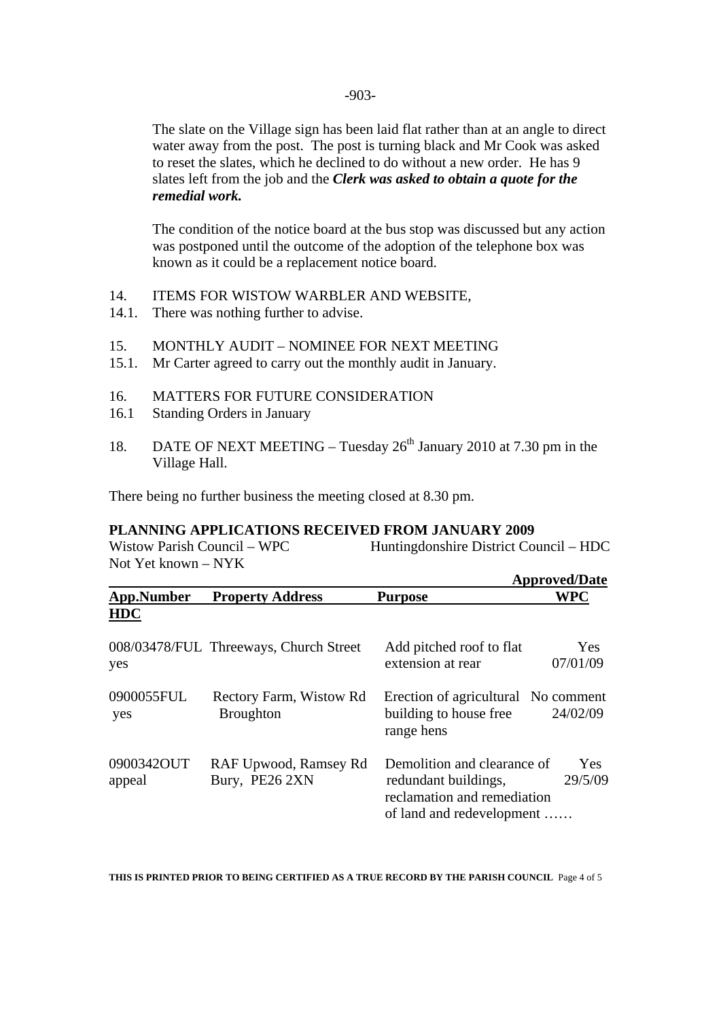The slate on the Village sign has been laid flat rather than at an angle to direct water away from the post. The post is turning black and Mr Cook was asked to reset the slates, which he declined to do without a new order. He has 9 slates left from the job and the *Clerk was asked to obtain a quote for the remedial work.* 

 The condition of the notice board at the bus stop was discussed but any action was postponed until the outcome of the adoption of the telephone box was known as it could be a replacement notice board.

- 14. ITEMS FOR WISTOW WARBLER AND WEBSITE,
- 14.1. There was nothing further to advise.
- 15. MONTHLY AUDIT NOMINEE FOR NEXT MEETING
- 15.1. Mr Carter agreed to carry out the monthly audit in January.
- 16. MATTERS FOR FUTURE CONSIDERATION
- 16.1 Standing Orders in January
- 18. DATE OF NEXT MEETING Tuesday  $26<sup>th</sup>$  January 2010 at 7.30 pm in the Village Hall.

There being no further business the meeting closed at 8.30 pm.

## **PLANNING APPLICATIONS RECEIVED FROM JANUARY 2009**

Wistow Parish Council – WPC Huntingdonshire District Council – HDC Not Yet known – NYK

|                      |                                             | <b>Approved/Date</b>                                                                                                                     |
|----------------------|---------------------------------------------|------------------------------------------------------------------------------------------------------------------------------------------|
| <b>App.Number</b>    | <b>Property Address</b>                     | <b>WPC</b><br><b>Purpose</b>                                                                                                             |
| <b>HDC</b>           |                                             |                                                                                                                                          |
| yes                  | 008/03478/FUL Threeways, Church Street      | Yes<br>Add pitched roof to flat<br>extension at rear<br>07/01/09                                                                         |
| 0900055FUL<br>yes    | Rectory Farm, Wistow Rd<br><b>Broughton</b> | Erection of agricultural No comment<br>building to house free<br>24/02/09<br>range hens                                                  |
| 0900342OUT<br>appeal | RAF Upwood, Ramsey Rd<br>Bury, PE26 2XN     | Demolition and clearance of<br><b>Yes</b><br>29/5/09<br>redundant buildings,<br>reclamation and remediation<br>of land and redevelopment |

**THIS IS PRINTED PRIOR TO BEING CERTIFIED AS A TRUE RECORD BY THE PARISH COUNCIL** Page 4 of 5